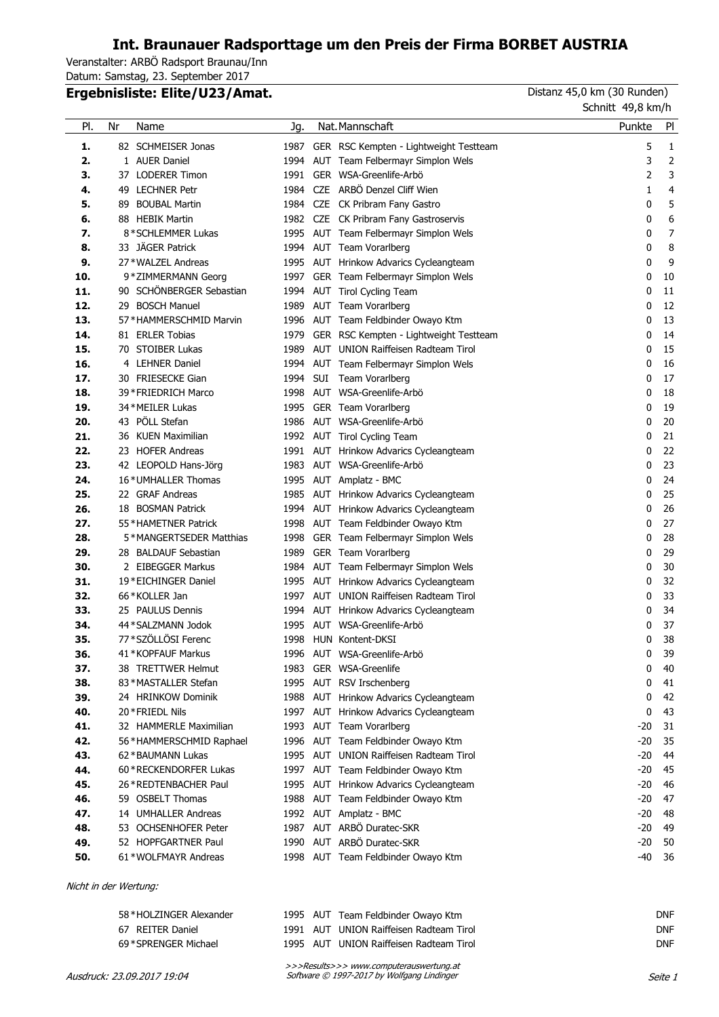## **Int. Braunauer Radsporttage um den Preis der Firma BORBET AUSTRIA**

Veranstalter: ARBÖ Radsport Braunau/Inn Datum: Samstag, 23. September 2017

## **Ergebnisliste: Elite/U23/Amat. Ergebnisliste: Elite/U23/Amat.** Distanz 45,0 km (30 Runden)

Schnitt 49,8 km/h

| PI.        | Nr | Name                                            | Jg.  | Nat. Mannschaft                                                               | Punkte | PI       |
|------------|----|-------------------------------------------------|------|-------------------------------------------------------------------------------|--------|----------|
| 1.         |    | 82 SCHMEISER Jonas                              | 1987 | GER RSC Kempten - Lightweight Testteam                                        | 5      | 1        |
| 2.         |    | 1 AUER Daniel                                   | 1994 | AUT Team Felbermayr Simplon Wels                                              | 3      | 2        |
| 3.         |    | 37 LODERER Timon                                | 1991 | GER WSA-Greenlife-Arbö                                                        | 2      | 3        |
| 4.         |    | 49 LECHNER Petr                                 | 1984 | CZE ARBÖ Denzel Cliff Wien                                                    | 1      | 4        |
| 5.         |    | 89 BOUBAL Martin                                | 1984 | CZE CK Pribram Fany Gastro                                                    | 0      | 5        |
| 6.         |    | 88 HEBIK Martin                                 | 1982 | CZE CK Pribram Fany Gastroservis                                              | 0      | 6        |
| 7.         |    | 8*SCHLEMMER Lukas                               |      | 1995 AUT Team Felbermayr Simplon Wels                                         | 0      | 7        |
| 8.         |    | 33 JÄGER Patrick                                | 1994 | AUT Team Vorarlberg                                                           | 0      | 8        |
| 9.         |    | 27 * WALZEL Andreas                             |      | 1995 AUT Hrinkow Advarics Cycleangteam                                        | 0      | 9        |
| 10.        |    | 9*ZIMMERMANN Georg                              | 1997 | GER Team Felbermayr Simplon Wels                                              | 0      | 10       |
| 11.        |    | 90 SCHÖNBERGER Sebastian                        | 1994 | AUT Tirol Cycling Team                                                        | 0      | 11       |
| 12.        |    | 29 BOSCH Manuel                                 | 1989 | AUT Team Vorarlberg                                                           | 0      | 12       |
| 13.        |    | 57*HAMMERSCHMID Marvin                          | 1996 | AUT Team Feldbinder Owayo Ktm                                                 | 0      | 13       |
| 14.        |    | 81 ERLER Tobias                                 | 1979 | GER RSC Kempten - Lightweight Testteam                                        | 0      | 14       |
| 15.        |    | 70 STOIBER Lukas                                | 1989 | AUT UNION Raiffeisen Radteam Tirol                                            | 0      | 15       |
| 16.        |    | 4 LEHNER Daniel                                 | 1994 | AUT Team Felbermayr Simplon Wels                                              | 0      | 16       |
| 17.        |    | 30 FRIESECKE Gian                               | 1994 | SUI Team Vorarlberg                                                           | 0      | 17       |
| 18.        |    | 39 * FRIEDRICH Marco                            | 1998 | AUT WSA-Greenlife-Arbö                                                        | 0      | 18       |
| 19.        |    | 34 * MEILER Lukas                               | 1995 | GER Team Vorarlberg                                                           | 0      | 19       |
| 20.        |    | 43 PÖLL Stefan                                  | 1986 | AUT WSA-Greenlife-Arbö                                                        | 0      | 20       |
| 21.        |    | 36 KUEN Maximilian                              |      | 1992 AUT Tirol Cycling Team                                                   | 0      | 21       |
| 22.        |    | 23 HOFER Andreas                                | 1991 | AUT Hrinkow Advarics Cycleangteam                                             | 0      | 22       |
| 23.        |    | 42 LEOPOLD Hans-Jörg                            | 1983 | AUT WSA-Greenlife-Arbö                                                        | 0      | 23       |
| 24.        |    | 16*UMHALLER Thomas                              |      | 1995 AUT Amplatz - BMC                                                        | 0      | 24       |
| 25.        |    | 22 GRAF Andreas                                 |      | 1985 AUT Hrinkow Advarics Cycleangteam                                        | 0      | 25       |
| 26.        |    | 18 BOSMAN Patrick                               | 1994 | AUT Hrinkow Advarics Cycleangteam                                             | 0      | 26       |
| 27.        |    | 55*HAMETNER Patrick                             | 1998 | AUT Team Feldbinder Owayo Ktm                                                 | 0      | 27       |
| 28.        |    | 5*MANGERTSEDER Matthias                         | 1998 | GER Team Felbermayr Simplon Wels                                              | 0      | 28       |
| 29.        |    | 28 BALDAUF Sebastian                            | 1989 | GER Team Vorarlberg                                                           | 0      | 29       |
| 30.        |    | 2 EIBEGGER Markus                               | 1984 | AUT Team Felbermayr Simplon Wels                                              | 0      | 30       |
| 31.        |    | 19*EICHINGER Daniel                             | 1995 | AUT Hrinkow Advarics Cycleangteam                                             | 0      | 32       |
| 32.        |    | 66 * KOLLER Jan                                 | 1997 | AUT UNION Raiffeisen Radteam Tirol                                            | 0      | 33       |
| 33.        |    | 25 PAULUS Dennis                                | 1994 | AUT Hrinkow Advarics Cycleangteam                                             | 0      | 34       |
| 34.        |    | 44 * SALZMANN Jodok                             | 1995 | AUT WSA-Greenlife-Arbö                                                        | 0      | 37       |
| 35.        |    | 77 * SZÖLLÖSI Ferenc                            | 1998 | HUN Kontent-DKSI                                                              | 0      | 38       |
| 36.        |    | 41 * KOPFAUF Markus                             | 1996 | AUT WSA-Greenlife-Arbö                                                        | 0      | 39       |
| 37.<br>38. |    | 38 TRETTWER Helmut                              | 1983 | GER WSA-Greenlife                                                             | 0      | 40       |
|            |    | 83*MASTALLER Stefan<br>24 HRINKOW Dominik       |      | 1995 AUT RSV Irschenberg                                                      | 0      | 41       |
| 39.<br>40. |    | 20 * FRIEDL Nils                                |      | 1988 AUT Hrinkow Advarics Cycleangteam                                        | 0<br>0 | 42<br>43 |
|            |    | 32 HAMMERLE Maximilian                          | 1993 | 1997 AUT Hrinkow Advarics Cycleangteam                                        | $-20$  | 31       |
| 41.        |    |                                                 |      | AUT Team Vorarlberg                                                           | $-20$  | 35       |
| 42.<br>43. |    | 56 * HAMMERSCHMID Raphael<br>62 * BAUMANN Lukas |      | 1996 AUT Team Feldbinder Owayo Ktm<br>1995 AUT UNION Raiffeisen Radteam Tirol | $-20$  | 44       |
| 44.        |    | 60 * RECKENDORFER Lukas                         |      | 1997 AUT Team Feldbinder Owayo Ktm                                            | $-20$  | 45       |
| 45.        |    | 26 * REDTENBACHER Paul                          |      | 1995 AUT Hrinkow Advarics Cycleangteam                                        | $-20$  | 46       |
| 46.        |    | 59 OSBELT Thomas                                | 1988 | AUT Team Feldbinder Owayo Ktm                                                 | $-20$  | 47       |
| 47.        |    | 14 UMHALLER Andreas                             | 1992 | AUT Amplatz - BMC                                                             | $-20$  | 48       |
| 48.        |    | 53 OCHSENHOFER Peter                            | 1987 | AUT ARBÖ Duratec-SKR                                                          | -20    | 49       |
| 49.        |    | 52 HOPFGARTNER Paul                             | 1990 | AUT ARBÖ Duratec-SKR                                                          | $-20$  | 50       |
| 50.        |    | 61*WOLFMAYR Andreas                             |      | 1998 AUT Team Feldbinder Owayo Ktm                                            | $-40$  | 36       |
|            |    |                                                 |      |                                                                               |        |          |

Nicht in der Wertung:

| 58*HOLZINGER Alexander | 1995 AUT Team Feldbinder Owayo Ktm      | <b>DNF</b> |
|------------------------|-----------------------------------------|------------|
| 67 REITER Daniel       | 1991 AUT UNION Raiffeisen Radteam Tirol | <b>DNF</b> |
| 69*SPRENGER Michael    | 1995 AUT UNION Raiffeisen Radteam Tirol | <b>DNF</b> |